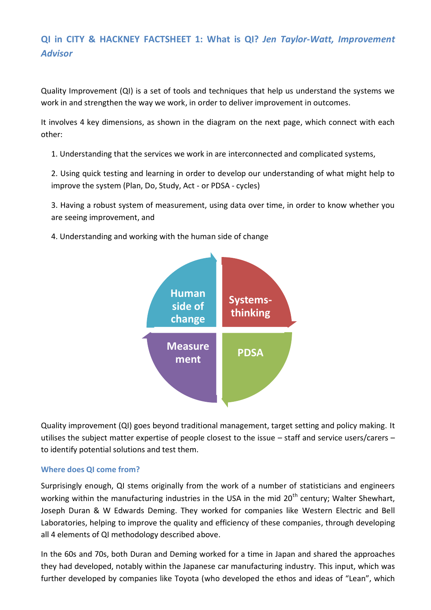# **QI in CITY & HACKNEY FACTSHEET 1: What is QI?** *Jen Taylor-Watt, Improvement Advisor*

Quality Improvement (QI) is a set of tools and techniques that help us understand the systems we work in and strengthen the way we work, in order to deliver improvement in outcomes.

It involves 4 key dimensions, as shown in the diagram on the next page, which connect with each other:

1. Understanding that the services we work in are interconnected and complicated systems,

2. Using quick testing and learning in order to develop our understanding of what might help to improve the system (Plan, Do, Study, Act - or PDSA - cycles)

3. Having a robust system of measurement, using data over time, in order to know whether you are seeing improvement, and

4. Understanding and working with the human side of change



Quality improvement (QI) goes beyond traditional management, target setting and policy making. It utilises the subject matter expertise of people closest to the issue – staff and service users/carers – to identify potential solutions and test them.

### **Where does QI come from?**

Surprisingly enough, QI stems originally from the work of a number of statisticians and engineers working within the manufacturing industries in the USA in the mid 20<sup>th</sup> century; Walter Shewhart, Joseph Duran & W Edwards Deming. They worked for companies like Western Electric and Bell Laboratories, helping to improve the quality and efficiency of these companies, through developing all 4 elements of QI methodology described above.

In the 60s and 70s, both Duran and Deming worked for a time in Japan and shared the approaches they had developed, notably within the Japanese car manufacturing industry. This input, which was further developed by companies like Toyota (who developed the ethos and ideas of "Lean", which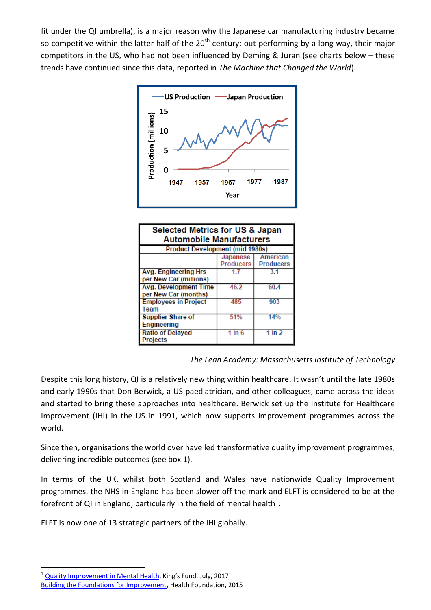fit under the QI umbrella), is a major reason why the Japanese car manufacturing industry became so competitive within the latter half of the  $20<sup>th</sup>$  century; out-performing by a long way, their major competitors in the US, who had not been influenced by Deming & Juran (see charts below – these trends have continued since this data, reported in *The Machine that Changed the World*).



| Selected Metrics for US & Japan<br><b>Automobile Manufacturers</b> |                              |                              |
|--------------------------------------------------------------------|------------------------------|------------------------------|
| <b>Product Development (mid 1980s)</b>                             |                              |                              |
|                                                                    | Japanese<br><b>Producers</b> | American<br><b>Producers</b> |
| <b>Avg. Engineering Hrs</b><br>per New Car (millions)              | 17                           | 3.1                          |
| <b>Avg. Development Time</b><br>per New Car (months)               | 46.2                         | 60.4                         |
| <b>Employees in Project</b><br>Team                                | 485                          | 903                          |
| <b>Supplier Share of</b><br><b>Engineering</b>                     | 51%                          | 14%                          |
| <b>Ratio of Delayed</b><br><b>Projects</b>                         | 1 in $6$                     | 1 in 2                       |

*The Lean Academy: Massachusetts Institute of Technology*

Despite this long history, QI is a relatively new thing within healthcare. It wasn't until the late 1980s and early 1990s that Don Berwick, a US paediatrician, and other colleagues, came across the ideas and started to bring these approaches into healthcare. Berwick set up the Institute for Healthcare Improvement (IHI) in the US in 1991, which now supports improvement programmes across the world.

Since then, organisations the world over have led transformative quality improvement programmes, delivering incredible outcomes (see box 1).

In terms of the UK, whilst both Scotland and Wales have nationwide Quality Improvement programmes, the NHS in England has been slower off the mark and ELFT is considered to be at the forefront of QI in England, particularly in the field of mental health<sup>1</sup>.

ELFT is now one of 13 strategic partners of the IHI globally.

<sup>-</sup><sup>1</sup> [Quality Improvement in Mental Health](https://www.kingsfund.org.uk/sites/files/kf/field/field_publication_file/Quality_improvement_mental_health_Kings_Fund_July_2017_0.pdf), King's Fund, July, 2017

[Building the Foundations for Improvement,](http://www.health.org.uk/sites/health/files/BuildingTheFoundationsForImprovement.pdf) Health Foundation, 2015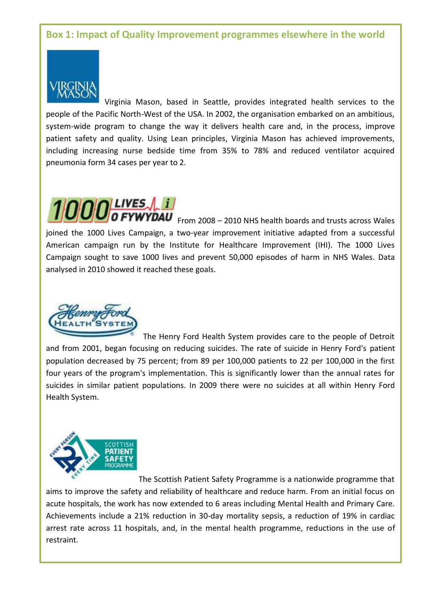## **Box 1: Impact of Quality Improvement programmes elsewhere in the world**



Virginia Mason, based in Seattle, provides integrated health services to the people of the Pacific North-West of the USA. In 2002, the organisation embarked on an ambitious, system-wide program to change the way it delivers health care and, in the process, improve patient safety and quality. Using Lean principles, Virginia Mason has achieved improvements, including increasing nurse bedside time from 35% to 78% and reduced ventilator acquired pneumonia form 34 cases per year to 2.



**WYDAU** From 2008 – 2010 NHS health boards and trusts across Wales joined the 1000 Lives Campaign, a two-year improvement initiative adapted from a successful American campaign run by the Institute for Healthcare Improvement (IHI). The 1000 Lives Campaign sought to save 1000 lives and prevent 50,000 episodes of harm in NHS Wales. Data analysed in 2010 showed it reached these goals.



The Henry Ford Health System provides care to the people of Detroit and from 2001, began focusing on reducing suicides. The rate of suicide in Henry Ford's patient population decreased by 75 percent; from 89 per 100,000 patients to 22 per 100,000 in the first four years of the program's implementation. This is significantly lower than the annual rates for suicides in similar patient populations. In 2009 there were no suicides at all within Henry Ford Health System.



The Scottish Patient Safety Programme is a nationwide programme that aims to improve the safety and reliability of healthcare and reduce harm. From an initial focus on acute hospitals, the work has now extended to 6 areas including Mental Health and Primary Care. Achievements include a 21% reduction in 30-day mortality sepsis, a reduction of 19% in cardiac arrest rate across 11 hospitals, and, in the mental health programme, reductions in the use of restraint.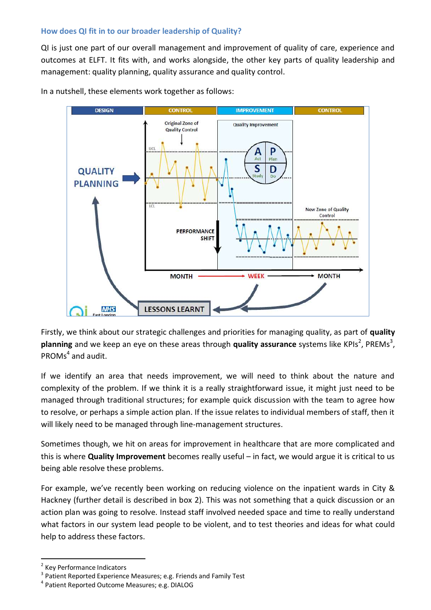#### **How does QI fit in to our broader leadership of Quality?**

QI is just one part of our overall management and improvement of quality of care, experience and outcomes at ELFT. It fits with, and works alongside, the other key parts of quality leadership and management: quality planning, quality assurance and quality control.



In a nutshell, these elements work together as follows:

Firstly, we think about our strategic challenges and priorities for managing quality, as part of **quality**  planning and we keep an eye on these areas through **quality assurance** systems like KPIs<sup>2</sup>, PREMs<sup>3</sup>, PROMs<sup>4</sup> and audit.

If we identify an area that needs improvement, we will need to think about the nature and complexity of the problem. If we think it is a really straightforward issue, it might just need to be managed through traditional structures; for example quick discussion with the team to agree how to resolve, or perhaps a simple action plan. If the issue relates to individual members of staff, then it will likely need to be managed through line-management structures.

Sometimes though, we hit on areas for improvement in healthcare that are more complicated and this is where **Quality Improvement** becomes really useful – in fact, we would argue it is critical to us being able resolve these problems.

For example, we've recently been working on reducing violence on the inpatient wards in City & Hackney (further detail is described in box 2). This was not something that a quick discussion or an action plan was going to resolve. Instead staff involved needed space and time to really understand what factors in our system lead people to be violent, and to test theories and ideas for what could help to address these factors.

<sup>-</sup><sup>2</sup> Key Performance Indicators

<sup>&</sup>lt;sup>3</sup> Patient Reported Experience Measures; e.g. Friends and Family Test

<sup>4</sup> Patient Reported Outcome Measures; e.g. DIALOG